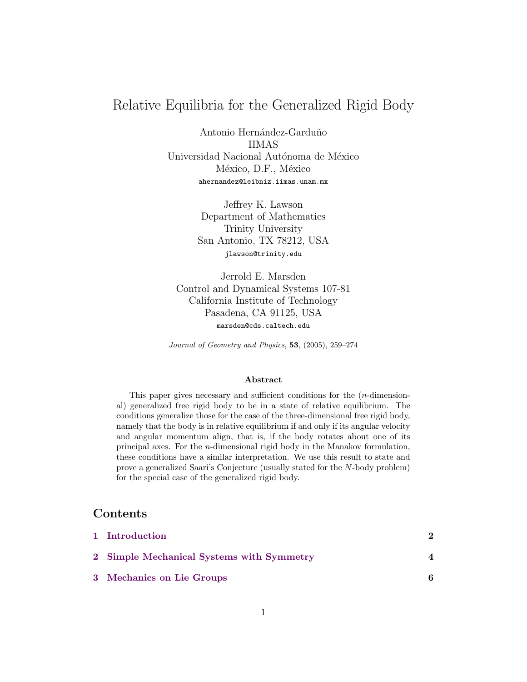# Relative Equilibria for the Generalized Rigid Body

Antonio Hernández-Garduño IIMAS Universidad Nacional Autónoma de México México, D.F., México ahernandez@leibniz.iimas.unam.mx

> Jeffrey K. Lawson Department of Mathematics Trinity University San Antonio, TX 78212, USA jlawson@trinity.edu

Jerrold E. Marsden Control and Dynamical Systems 107-81 California Institute of Technology Pasadena, CA 91125, USA marsden@cds.caltech.edu

Journal of Geometry and Physics, 53, (2005), 259–274

#### Abstract

This paper gives necessary and sufficient conditions for the (n-dimensional) generalized free rigid body to be in a state of relative equilibrium. The conditions generalize those for the case of the three-dimensional free rigid body, namely that the body is in relative equilibrium if and only if its angular velocity and angular momentum align, that is, if the body rotates about one of its principal axes. For the n-dimensional rigid body in the Manakov formulation, these conditions have a similar interpretation. We use this result to state and prove a generalized Saari's Conjecture (usually stated for the N-body problem) for the special case of the generalized rigid body.

# Contents

| 1 Introduction                            |  |
|-------------------------------------------|--|
| 2 Simple Mechanical Systems with Symmetry |  |
| 3 Mechanics on Lie Groups                 |  |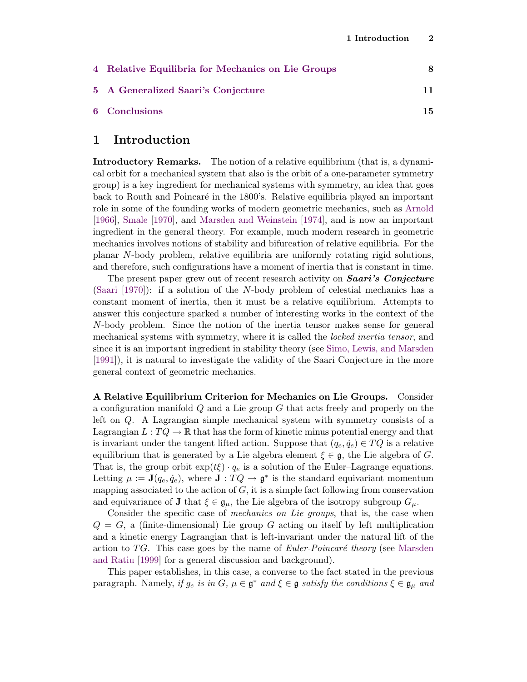| 4 Relative Equilibria for Mechanics on Lie Groups | 8   |
|---------------------------------------------------|-----|
| 5 A Generalized Saari's Conjecture                |     |
| 6 Conclusions                                     | 15. |

### <span id="page-1-0"></span>1 Introduction

Introductory Remarks. The notion of a relative equilibrium (that is, a dynamical orbit for a mechanical system that also is the orbit of a one-parameter symmetry group) is a key ingredient for mechanical systems with symmetry, an idea that goes back to Routh and Poincaré in the 1800's. Relative equilibria played an important role in some of the founding works of modern geometric mechanics, such as [Arnold](#page-14-1) [\[1966\]](#page-14-1), [Smale](#page-16-0) [\[1970\]](#page-16-0), and [Marsden and Weinstein](#page-15-0) [\[1974\]](#page-15-0), and is now an important ingredient in the general theory. For example, much modern research in geometric mechanics involves notions of stability and bifurcation of relative equilibria. For the planar N-body problem, relative equilibria are uniformly rotating rigid solutions, and therefore, such configurations have a moment of inertia that is constant in time.

The present paper grew out of recent research activity on **Saari's Conjecture** [\(Saari](#page-16-1) [\[1970\]](#page-16-1)): if a solution of the N-body problem of celestial mechanics has a constant moment of inertia, then it must be a relative equilibrium. Attempts to answer this conjecture sparked a number of interesting works in the context of the N-body problem. Since the notion of the inertia tensor makes sense for general mechanical systems with symmetry, where it is called the *locked inertia tensor*, and since it is an important ingredient in stability theory (see [Simo, Lewis, and Marsden](#page-16-2) [\[1991\]](#page-16-2)), it is natural to investigate the validity of the Saari Conjecture in the more general context of geometric mechanics.

A Relative Equilibrium Criterion for Mechanics on Lie Groups. Consider a configuration manifold Q and a Lie group G that acts freely and properly on the left on Q. A Lagrangian simple mechanical system with symmetry consists of a Lagrangian  $L: TQ \to \mathbb{R}$  that has the form of kinetic minus potential energy and that is invariant under the tangent lifted action. Suppose that  $(q_e, \dot{q}_e) \in TQ$  is a relative equilibrium that is generated by a Lie algebra element  $\xi \in \mathfrak{g}$ , the Lie algebra of G. That is, the group orbit  $\exp(t\xi) \cdot q_e$  is a solution of the Euler–Lagrange equations. Letting  $\mu := \mathbf{J}(q_e, \dot{q}_e)$ , where  $\mathbf{J} : TQ \to \mathfrak{g}^*$  is the standard equivariant momentum mapping associated to the action of  $G$ , it is a simple fact following from conservation and equivariance of **J** that  $\xi \in \mathfrak{g}_{\mu}$ , the Lie algebra of the isotropy subgroup  $G_{\mu}$ .

Consider the specific case of *mechanics on Lie groups*, that is, the case when  $Q = G$ , a (finite-dimensional) Lie group G acting on itself by left multiplication and a kinetic energy Lagrangian that is left-invariant under the natural lift of the action to TG. This case goes by the name of  $Euler-Poincaré$  theory (see [Marsden](#page-15-1) [and Ratiu](#page-15-1) [\[1999\]](#page-15-1) for a general discussion and background).

This paper establishes, in this case, a converse to the fact stated in the previous paragraph. Namely, if  $g_e$  is in  $G, \mu \in \mathfrak{g}^*$  and  $\xi \in \mathfrak{g}$  satisfy the conditions  $\xi \in \mathfrak{g}_{\mu}$  and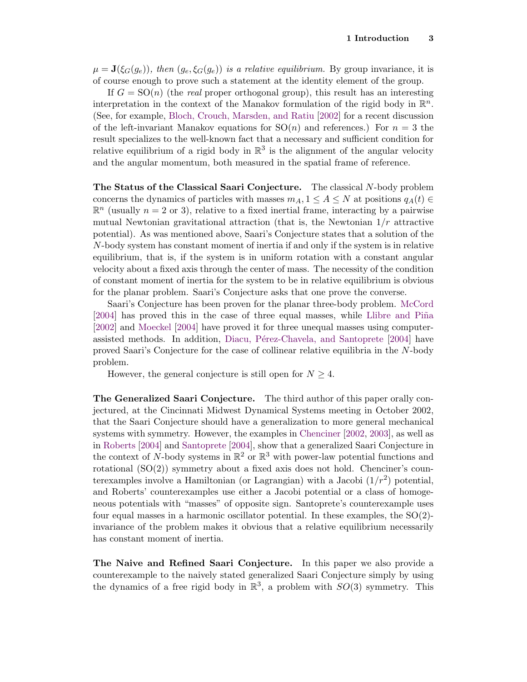$\mu = \mathbf{J}(\xi_G(g_e))$ , then  $(g_e, \xi_G(g_e))$  is a relative equilibrium. By group invariance, it is of course enough to prove such a statement at the identity element of the group.

If  $G = SO(n)$  (the real proper orthogonal group), this result has an interesting interpretation in the context of the Manakov formulation of the rigid body in  $\mathbb{R}^n$ . (See, for example, [Bloch, Crouch, Marsden, and Ratiu](#page-14-2) [\[2002\]](#page-14-2) for a recent discussion of the left-invariant Manakov equations for  $SO(n)$  and references.) For  $n = 3$  the result specializes to the well-known fact that a necessary and sufficient condition for relative equilibrium of a rigid body in  $\mathbb{R}^3$  is the alignment of the angular velocity and the angular momentum, both measured in the spatial frame of reference.

The Status of the Classical Saari Conjecture. The classical N-body problem concerns the dynamics of particles with masses  $m_A$ ,  $1 \leq A \leq N$  at positions  $q_A(t) \in$  $\mathbb{R}^n$  (usually  $n = 2$  or 3), relative to a fixed inertial frame, interacting by a pairwise mutual Newtonian gravitational attraction (that is, the Newtonian  $1/r$  attractive potential). As was mentioned above, Saari's Conjecture states that a solution of the N-body system has constant moment of inertia if and only if the system is in relative equilibrium, that is, if the system is in uniform rotation with a constant angular velocity about a fixed axis through the center of mass. The necessity of the condition of constant moment of inertia for the system to be in relative equilibrium is obvious for the planar problem. Saari's Conjecture asks that one prove the converse.

Saari's Conjecture has been proven for the planar three-body problem. [McCord](#page-15-2) [\[2004\]](#page-15-2) has proved this in the case of three equal masses, while Llibre and Piña [\[2002\]](#page-15-3) and [Moeckel](#page-15-4) [\[2004\]](#page-15-4) have proved it for three unequal masses using computer-assisted methods. In addition, Diacu, Pérez-Chavela, and Santoprete [\[2004\]](#page-15-5) have proved Saari's Conjecture for the case of collinear relative equilibria in the N-body problem.

However, the general conjecture is still open for  $N \geq 4$ .

The Generalized Saari Conjecture. The third author of this paper orally conjectured, at the Cincinnati Midwest Dynamical Systems meeting in October 2002, that the Saari Conjecture should have a generalization to more general mechanical systems with symmetry. However, the examples in [Chenciner](#page-15-6) [\[2002,](#page-15-6) [2003\]](#page-15-7), as well as in [Roberts](#page-15-8) [\[2004\]](#page-15-8) and [Santoprete](#page-16-3) [\[2004\]](#page-16-3), show that a generalized Saari Conjecture in the context of N-body systems in  $\mathbb{R}^2$  or  $\mathbb{R}^3$  with power-law potential functions and rotational (SO(2)) symmetry about a fixed axis does not hold. Chenciner's counterexamples involve a Hamiltonian (or Lagrangian) with a Jacobi  $(1/r^2)$  potential, and Roberts' counterexamples use either a Jacobi potential or a class of homogeneous potentials with "masses" of opposite sign. Santoprete's counterexample uses four equal masses in a harmonic oscillator potential. In these examples, the  $SO(2)$ invariance of the problem makes it obvious that a relative equilibrium necessarily has constant moment of inertia.

The Naive and Refined Saari Conjecture. In this paper we also provide a counterexample to the naively stated generalized Saari Conjecture simply by using the dynamics of a free rigid body in  $\mathbb{R}^3$ , a problem with  $SO(3)$  symmetry. This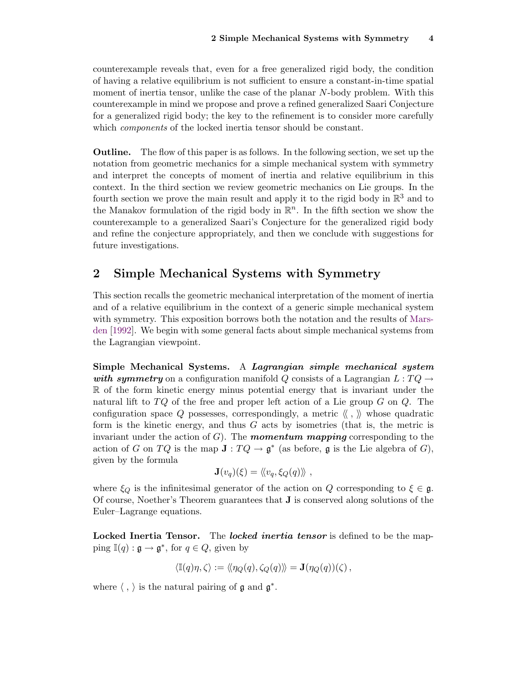counterexample reveals that, even for a free generalized rigid body, the condition of having a relative equilibrium is not sufficient to ensure a constant-in-time spatial moment of inertia tensor, unlike the case of the planar N-body problem. With this counterexample in mind we propose and prove a refined generalized Saari Conjecture for a generalized rigid body; the key to the refinement is to consider more carefully which *components* of the locked inertia tensor should be constant.

Outline. The flow of this paper is as follows. In the following section, we set up the notation from geometric mechanics for a simple mechanical system with symmetry and interpret the concepts of moment of inertia and relative equilibrium in this context. In the third section we review geometric mechanics on Lie groups. In the fourth section we prove the main result and apply it to the rigid body in  $\mathbb{R}^3$  and to the Manakov formulation of the rigid body in  $\mathbb{R}^n$ . In the fifth section we show the counterexample to a generalized Saari's Conjecture for the generalized rigid body and refine the conjecture appropriately, and then we conclude with suggestions for future investigations.

# <span id="page-3-0"></span>2 Simple Mechanical Systems with Symmetry

This section recalls the geometric mechanical interpretation of the moment of inertia and of a relative equilibrium in the context of a generic simple mechanical system with symmetry. This exposition borrows both the notation and the results of [Mars](#page-15-9)[den](#page-15-9) [\[1992\]](#page-15-9). We begin with some general facts about simple mechanical systems from the Lagrangian viewpoint.

Simple Mechanical Systems. A Lagrangian simple mechanical system with symmetry on a configuration manifold Q consists of a Lagrangian  $L: TQ \rightarrow$  $\mathbb R$  of the form kinetic energy minus potential energy that is invariant under the natural lift to  $TQ$  of the free and proper left action of a Lie group G on  $Q$ . The configuration space Q possesses, correspondingly, a metric  $\langle \langle , \rangle \rangle$  whose quadratic form is the kinetic energy, and thus  $G$  acts by isometries (that is, the metric is invariant under the action of  $G$ . The **momentum mapping** corresponding to the action of G on TQ is the map  $J: TQ \to \mathfrak{g}^*$  (as before,  $\mathfrak g$  is the Lie algebra of G), given by the formula

$$
\mathbf{J}(v_q)(\xi) = \langle\!\langle v_q, \xi_Q(q)\rangle\!\rangle ,
$$

where  $\xi_Q$  is the infinitesimal generator of the action on Q corresponding to  $\xi \in \mathfrak{g}$ . Of course, Noether's Theorem guarantees that J is conserved along solutions of the Euler–Lagrange equations.

Locked Inertia Tensor. The *locked inertia tensor* is defined to be the mapping  $\mathbb{I}(q) : \mathfrak{g} \to \mathfrak{g}^*$ , for  $q \in Q$ , given by

$$
\langle \mathbb{I}(q)\eta, \zeta \rangle := \langle \langle \eta_Q(q), \zeta_Q(q) \rangle \rangle = \mathbf{J}(\eta_Q(q))(\zeta) ,
$$

where  $\langle , \rangle$  is the natural pairing of  $\mathfrak g$  and  $\mathfrak g^*$ .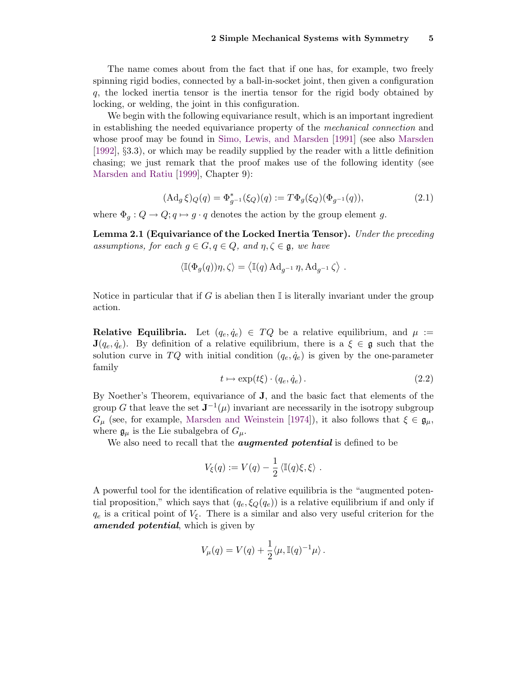The name comes about from the fact that if one has, for example, two freely spinning rigid bodies, connected by a ball-in-socket joint, then given a configuration q, the locked inertia tensor is the inertia tensor for the rigid body obtained by locking, or welding, the joint in this configuration.

We begin with the following equivariance result, which is an important ingredient in establishing the needed equivariance property of the mechanical connection and whose proof may be found in [Simo, Lewis, and Marsden](#page-16-2) [\[1991\]](#page-16-2) (see also [Marsden](#page-15-9) [\[1992\]](#page-15-9), §3.3), or which may be readily supplied by the reader with a little definition chasing; we just remark that the proof makes use of the following identity (see [Marsden and Ratiu](#page-15-1) [\[1999\]](#page-15-1), Chapter 9):

$$
(\mathrm{Ad}_g \,\xi)_{Q}(q) = \Phi_{g^{-1}}^*(\xi_Q)(q) := T\Phi_g(\xi_Q)(\Phi_{g^{-1}}(q)),\tag{2.1}
$$

<span id="page-4-1"></span>where  $\Phi_q: Q \to Q; q \mapsto q \cdot q$  denotes the action by the group element g.

<span id="page-4-0"></span>Lemma 2.1 (Equivariance of the Locked Inertia Tensor). Under the preceding assumptions, for each  $g \in G, q \in Q$ , and  $\eta, \zeta \in \mathfrak{g}$ , we have

$$
\langle \mathbb{I}(\Phi_g(q))\eta, \zeta \rangle = \langle \mathbb{I}(q) \,\mathrm{Ad}_{g^{-1}} \,\eta, \mathrm{Ad}_{g^{-1}} \,\zeta \rangle \; .
$$

Notice in particular that if G is abelian then  $\mathbb I$  is literally invariant under the group action.

**Relative Equilibria.** Let  $(q_e, \dot{q}_e) \in TQ$  be a relative equilibrium, and  $\mu :=$  $\mathbf{J}(q_e, \dot{q}_e)$ . By definition of a relative equilibrium, there is a  $\xi \in \mathfrak{g}$  such that the solution curve in TQ with initial condition  $(q_e, \dot{q}_e)$  is given by the one-parameter family

$$
t \mapsto \exp(t\xi) \cdot (q_e, \dot{q}_e). \tag{2.2}
$$

By Noether's Theorem, equivariance of J, and the basic fact that elements of the group G that leave the set  $J^{-1}(\mu)$  invariant are necessarily in the isotropy subgroup  $G_{\mu}$  (see, for example, [Marsden and Weinstein](#page-15-0) [\[1974\]](#page-15-0)), it also follows that  $\xi \in \mathfrak{g}_{\mu}$ , where  $\mathfrak{g}_{\mu}$  is the Lie subalgebra of  $G_{\mu}$ .

We also need to recall that the *augmented potential* is defined to be

$$
V_{\xi}(q) := V(q) - \frac{1}{2} \langle \mathbb{I}(q)\xi, \xi \rangle.
$$

A powerful tool for the identification of relative equilibria is the "augmented potential proposition," which says that  $(q_e, \xi_Q(q_e))$  is a relative equilibrium if and only if  $q_e$  is a critical point of  $V_{\xi}$ . There is a similar and also very useful criterion for the amended potential, which is given by

$$
V_{\mu}(q) = V(q) + \frac{1}{2} \langle \mu, \mathbb{I}(q)^{-1} \mu \rangle.
$$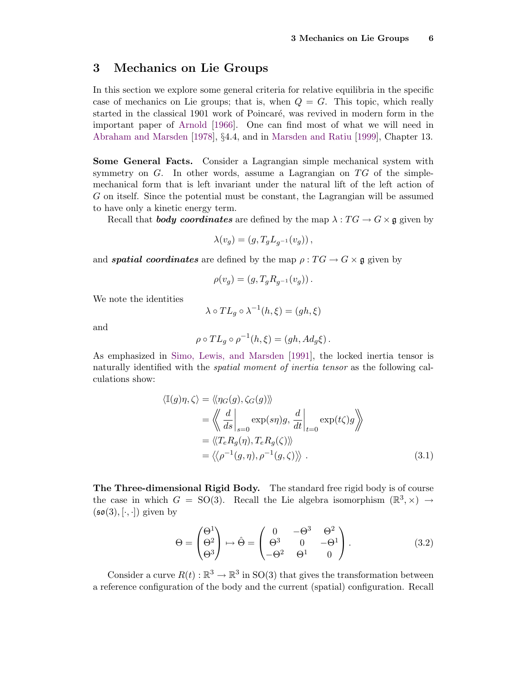### <span id="page-5-0"></span>3 Mechanics on Lie Groups

In this section we explore some general criteria for relative equilibria in the specific case of mechanics on Lie groups; that is, when  $Q = G$ . This topic, which really started in the classical 1901 work of Poincaré, was revived in modern form in the important paper of [Arnold](#page-14-1) [\[1966\]](#page-14-1). One can find most of what we will need in [Abraham and Marsden](#page-14-3) [\[1978\]](#page-14-3), §4.4, and in [Marsden and Ratiu](#page-15-1) [\[1999\]](#page-15-1), Chapter 13.

Some General Facts. Consider a Lagrangian simple mechanical system with symmetry on  $G$ . In other words, assume a Lagrangian on  $TG$  of the simplemechanical form that is left invariant under the natural lift of the left action of G on itself. Since the potential must be constant, the Lagrangian will be assumed to have only a kinetic energy term.

Recall that **body coordinates** are defined by the map  $\lambda : TG \to G \times \mathfrak{g}$  given by

$$
\lambda(v_g) = (g, T_g L_{g^{-1}}(v_g)),
$$

and **spatial coordinates** are defined by the map  $\rho: TG \to G \times \mathfrak{g}$  given by

$$
\rho(v_g) = (g, T_g R_{g^{-1}}(v_g)).
$$

We note the identities

$$
\lambda \circ TL_g \circ \lambda^{-1}(h, \xi) = (gh, \xi)
$$

and

$$
\rho \circ TL_g \circ \rho^{-1}(h,\xi) = (gh, Ad_g \xi).
$$

As emphasized in [Simo, Lewis, and Marsden](#page-16-2) [\[1991\]](#page-16-2), the locked inertia tensor is naturally identified with the *spatial moment of inertia tensor* as the following calculations show:

$$
\langle \mathbb{I}(g)\eta, \zeta \rangle = \langle \eta_G(g), \zeta_G(g) \rangle \rangle
$$
  
\n
$$
= \langle \langle \frac{d}{ds} |_{s=0} \exp(s\eta)g, \frac{d}{dt} |_{t=0} \exp(t\zeta)g \rangle \rangle
$$
  
\n
$$
= \langle \langle T_e R_g(\eta), T_e R_g(\zeta) \rangle \rangle
$$
  
\n
$$
= \langle \langle \rho^{-1}(g, \eta), \rho^{-1}(g, \zeta) \rangle \rangle . \tag{3.1}
$$

The Three-dimensional Rigid Body. The standard free rigid body is of course the case in which  $G = SO(3)$ . Recall the Lie algebra isomorphism  $(\mathbb{R}^3, \times) \rightarrow$  $(\mathfrak{so}(3), [\cdot, \cdot])$  given by

<span id="page-5-1"></span>
$$
\Theta = \begin{pmatrix} \Theta^1 \\ \Theta^2 \\ \Theta^3 \end{pmatrix} \mapsto \hat{\Theta} = \begin{pmatrix} 0 & -\Theta^3 & \Theta^2 \\ \Theta^3 & 0 & -\Theta^1 \\ -\Theta^2 & \Theta^1 & 0 \end{pmatrix} . \tag{3.2}
$$

Consider a curve  $R(t): \mathbb{R}^3 \to \mathbb{R}^3$  in SO(3) that gives the transformation between a reference configuration of the body and the current (spatial) configuration. Recall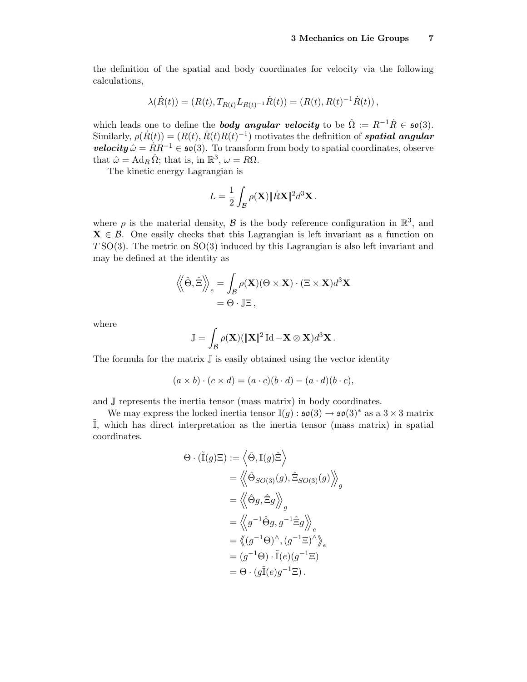the definition of the spatial and body coordinates for velocity via the following calculations,

$$
\lambda(\dot{R}(t)) = (R(t), T_{R(t)} L_{R(t)^{-1}} \dot{R}(t)) = (R(t), R(t)^{-1} \dot{R}(t)),
$$

which leads one to define the **body angular velocity** to be  $\hat{\Omega} := R^{-1}\dot{R} \in \mathfrak{so}(3)$ . Similarly,  $\rho(\dot{R}(t)) = (R(t), \dot{R}(t)R(t)^{-1})$  motivates the definition of **spatial angular velocity**  $\hat{\omega} = RR^{-1} \in \mathfrak{so}(3)$ . To transform from body to spatial coordinates, observe that  $\hat{\omega} = \text{Ad}_R \,\hat{\Omega}$ ; that is, in  $\mathbb{R}^3$ ,  $\omega = R\Omega$ .

The kinetic energy Lagrangian is

$$
L = \frac{1}{2} \int_{\mathcal{B}} \rho(\mathbf{X}) \|\dot{R}\mathbf{X}\|^2 d^3\mathbf{X}.
$$

where  $\rho$  is the material density,  $\mathcal B$  is the body reference configuration in  $\mathbb R^3$ , and  $\mathbf{X} \in \mathcal{B}$ . One easily checks that this Lagrangian is left invariant as a function on  $T\text{SO}(3)$ . The metric on  $\text{SO}(3)$  induced by this Lagrangian is also left invariant and may be defined at the identity as

$$
\langle \langle \hat{\Theta}, \hat{\Xi} \rangle \rangle_e = \int_{\mathcal{B}} \rho(\mathbf{X}) (\Theta \times \mathbf{X}) \cdot (\Xi \times \mathbf{X}) d^3 \mathbf{X} = \Theta \cdot \mathbb{J} \Xi,
$$

where

$$
\mathbb{J} = \int_{\mathcal{B}} \rho(\mathbf{X}) (\|\mathbf{X}\|^2 \mathrm{Id} - \mathbf{X} \otimes \mathbf{X}) d^3 \mathbf{X}.
$$

The formula for the matrix  $\mathbb J$  is easily obtained using the vector identity

$$
(a \times b) \cdot (c \times d) = (a \cdot c)(b \cdot d) - (a \cdot d)(b \cdot c),
$$

and J represents the inertia tensor (mass matrix) in body coordinates.

We may express the locked inertia tensor  $\mathbb{I}(g) : \mathfrak{so}(3) \to \mathfrak{so}(3)^*$  as a  $3 \times 3$  matrix  $\tilde{I}$ , which has direct interpretation as the inertia tensor (mass matrix) in spatial coordinates.

$$
\Theta \cdot (\tilde{\mathbb{I}}(g)\Xi) := \left\langle \hat{\Theta}, \mathbb{I}(g)\hat{\Xi} \right\rangle
$$
  
\n
$$
= \left\langle \left\langle \hat{\Theta}_{SO(3)}(g), \hat{\Xi}_{SO(3)}(g) \right\rangle \right\rangle_{g}
$$
  
\n
$$
= \left\langle \left\langle \hat{\Theta}g, \hat{\Xi}g \right\rangle_{g}
$$
  
\n
$$
= \left\langle \left\langle g^{-1}\hat{\Theta}g, g^{-1}\hat{\Xi}g \right\rangle \right\rangle_{e}
$$
  
\n
$$
= \left\langle \left\langle g^{-1}\Theta \right\rangle^{\wedge}, \left\langle g^{-1}\Xi \right\rangle^{\wedge} \right\rangle_{e}
$$
  
\n
$$
= (g^{-1}\Theta) \cdot \tilde{\mathbb{I}}(e)(g^{-1}\Xi)
$$
  
\n
$$
= \Theta \cdot (g\tilde{\mathbb{I}}(e)g^{-1}\Xi).
$$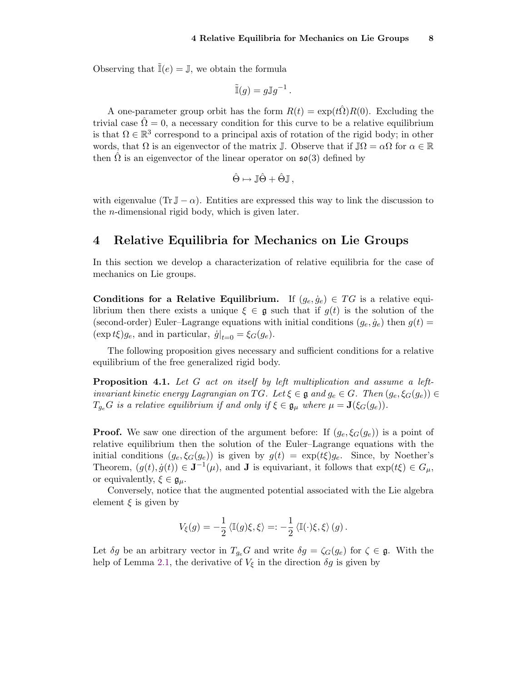Observing that  $\mathbb{I}(e) = \mathbb{J}$ , we obtain the formula

$$
\tilde{\mathbb{I}}(g) = g \mathbb{J} g^{-1}.
$$

A one-parameter group orbit has the form  $R(t) = \exp(t\hat{\Omega})R(0)$ . Excluding the trivial case  $\hat{\Omega} = 0$ , a necessary condition for this curve to be a relative equilibrium is that  $\Omega \in \mathbb{R}^3$  correspond to a principal axis of rotation of the rigid body; in other words, that  $\Omega$  is an eigenvector of the matrix J. Observe that if  $\mathbb{J}\Omega = \alpha\Omega$  for  $\alpha \in \mathbb{R}$ then  $\Omega$  is an eigenvector of the linear operator on  $\mathfrak{so}(3)$  defined by

$$
\hat{\Theta} \mapsto \mathbb{J}\hat{\Theta} + \hat{\Theta}\mathbb{J}\,,
$$

with eigenvalue (Tr  $\mathbb{J} - \alpha$ ). Entities are expressed this way to link the discussion to the n-dimensional rigid body, which is given later.

## <span id="page-7-0"></span>4 Relative Equilibria for Mechanics on Lie Groups

In this section we develop a characterization of relative equilibria for the case of mechanics on Lie groups.

Conditions for a Relative Equilibrium. If  $(g_e, \dot{g}_e) \in TG$  is a relative equilibrium then there exists a unique  $\xi \in \mathfrak{g}$  such that if  $g(t)$  is the solution of the (second-order) Euler–Lagrange equations with initial conditions  $(g_e, \dot{g}_e)$  then  $g(t)$  =  $(\exp t\xi)g_e$ , and in particular,  $\dot{g}|_{t=0} = \xi_G(g_e)$ .

The following proposition gives necessary and sufficient conditions for a relative equilibrium of the free generalized rigid body.

<span id="page-7-1"></span>**Proposition 4.1.** Let  $G$  act on itself by left multiplication and assume a leftinvariant kinetic energy Lagrangian on TG. Let  $\xi \in \mathfrak{g}$  and  $g_e \in G$ . Then  $(g_e, \xi_G(g_e)) \in$  $T_{q_e}G$  is a relative equilibrium if and only if  $\xi \in \mathfrak{g}_{\mu}$  where  $\mu = \mathbf{J}(\xi_G(g_e)).$ 

**Proof.** We saw one direction of the argument before: If  $(g_e, \xi_G(g_e))$  is a point of relative equilibrium then the solution of the Euler–Lagrange equations with the initial conditions  $(g_e, \xi_G(g_e))$  is given by  $g(t) = \exp(t\xi)g_e$ . Since, by Noether's Theorem,  $(g(t), \dot{g}(t)) \in \mathbf{J}^{-1}(\mu)$ , and **J** is equivariant, it follows that  $\exp(t\xi) \in G_{\mu}$ , or equivalently,  $\xi \in \mathfrak{g}_u$ .

Conversely, notice that the augmented potential associated with the Lie algebra element  $\xi$  is given by

$$
V_{\xi}(g) = -\frac{1}{2} \langle \mathbb{I}(g)\xi, \xi \rangle =: -\frac{1}{2} \langle \mathbb{I}(\cdot)\xi, \xi \rangle (g) .
$$

Let  $\delta g$  be an arbitrary vector in  $T_{g_e}G$  and write  $\delta g = \zeta_G(g_e)$  for  $\zeta \in \mathfrak{g}$ . With the help of Lemma [2.1,](#page-4-0) the derivative of  $V_{\xi}$  in the direction  $\delta g$  is given by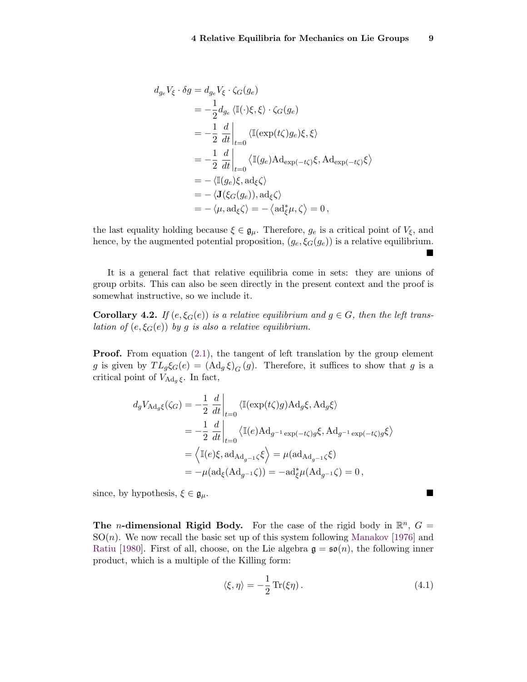$\blacksquare$ 

$$
d_{g_e}V_{\xi} \cdot \delta g = d_{g_e}V_{\xi} \cdot \zeta_G(g_e)
$$
  
=  $-\frac{1}{2}d_{g_e}\langle \mathbb{I}(\cdot)\xi, \xi\rangle \cdot \zeta_G(g_e)$   
=  $-\frac{1}{2}\frac{d}{dt}\Big|_{t=0}\langle \mathbb{I}(\exp(t\zeta)g_e)\xi, \xi\rangle$   
=  $-\frac{1}{2}\frac{d}{dt}\Big|_{t=0}\langle \mathbb{I}(g_e)\text{Ad}_{\exp(-t\zeta)}\xi, \text{Ad}_{\exp(-t\zeta)}\xi\rangle$   
=  $-\langle \mathbb{I}(g_e)\xi, \text{ad}_{\xi}\zeta\rangle$   
=  $-\langle \mathbf{J}(\xi_G(g_e)), \text{ad}_{\xi}\zeta\rangle$   
=  $-\langle \mu, \text{ad}_{\xi}\zeta \rangle = -\langle \text{ad}_{\xi}^*\mu, \zeta \rangle = 0,$ 

the last equality holding because  $\xi \in \mathfrak{g}_{\mu}$ . Therefore,  $g_e$  is a critical point of  $V_{\xi}$ , and hence, by the augmented potential proposition,  $(g_e, \xi_G(g_e))$  is a relative equilibrium.

It is a general fact that relative equilibria come in sets: they are unions of group orbits. This can also be seen directly in the present context and the proof is somewhat instructive, so we include it.

**Corollary 4.2.** If  $(e, \xi_G(e))$  is a relative equilibrium and  $g \in G$ , then the left translation of  $(e, \xi_G(e))$  by g is also a relative equilibrium.

**Proof.** From equation  $(2.1)$ , the tangent of left translation by the group element g is given by  $TL_g\xi_G(e) = (Ad_g \xi)_G(g)$ . Therefore, it suffices to show that g is a critical point of  $V_{\text{Ad}_q\xi}$ . In fact,

$$
d_g V_{\mathrm{Ad}_g \xi}(\zeta_G) = -\frac{1}{2} \left. \frac{d}{dt} \right|_{t=0} \langle \mathbb{I}(\exp(t\zeta)g) \mathrm{Ad}_g \xi, \mathrm{Ad}_g \xi \rangle
$$
  
\n
$$
= -\frac{1}{2} \left. \frac{d}{dt} \right|_{t=0} \langle \mathbb{I}(e) \mathrm{Ad}_{g^{-1} \exp(-t\zeta)g} \xi, \mathrm{Ad}_{g^{-1} \exp(-t\zeta)g} \xi \rangle
$$
  
\n
$$
= \langle \mathbb{I}(e) \xi, \mathrm{ad}_{\mathrm{Ad}_{g^{-1}} \zeta} \xi \rangle = \mu(\mathrm{ad}_{\mathrm{Ad}_{g^{-1}} \zeta} \xi)
$$
  
\n
$$
= -\mu(\mathrm{ad}_{\xi}(\mathrm{Ad}_{g^{-1}} \zeta)) = -\mathrm{ad}_{\xi}^* \mu(\mathrm{Ad}_{g^{-1}} \zeta) = 0,
$$

since, by hypothesis,  $\xi \in \mathfrak{g}_{\mu}$ .

The *n*-dimensional Rigid Body. For the case of the rigid body in  $\mathbb{R}^n$ ,  $G =$  $SO(n)$ . We now recall the basic set up of this system following [Manakov](#page-15-10) [\[1976\]](#page-15-10) and [Ratiu](#page-15-11) [\[1980\]](#page-15-11). First of all, choose, on the Lie algebra  $\mathfrak{g} = \mathfrak{so}(n)$ , the following inner product, which is a multiple of the Killing form:

<span id="page-8-0"></span>
$$
\langle \xi, \eta \rangle = -\frac{1}{2} \operatorname{Tr}(\xi \eta). \tag{4.1}
$$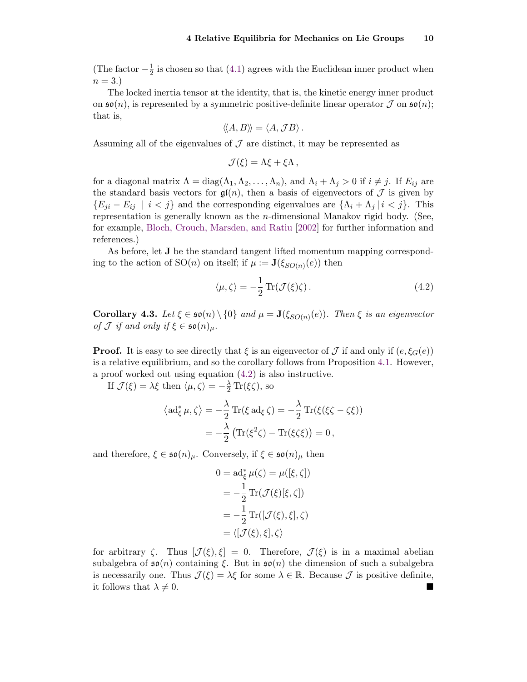(The factor  $-\frac{1}{2}$ )  $\frac{1}{2}$  is chosen so that [\(4.1\)](#page-8-0) agrees with the Euclidean inner product when  $n=3.$ 

The locked inertia tensor at the identity, that is, the kinetic energy inner product on  $\mathfrak{so}(n)$ , is represented by a symmetric positive-definite linear operator  $\mathcal J$  on  $\mathfrak{so}(n)$ ; that is,

$$
\langle\!\langle A,B\rangle\!\rangle = \langle A,\mathcal{J}B\rangle.
$$

Assuming all of the eigenvalues of  $\mathcal J$  are distinct, it may be represented as

$$
\mathcal{J}(\xi) = \Lambda \xi + \xi \Lambda \,,
$$

for a diagonal matrix  $\Lambda = \text{diag}(\Lambda_1, \Lambda_2, \ldots, \Lambda_n)$ , and  $\Lambda_i + \Lambda_j > 0$  if  $i \neq j$ . If  $E_{ij}$  are the standard basis vectors for  $\mathfrak{gl}(n)$ , then a basis of eigenvectors of  $\mathcal J$  is given by  $\{E_{ji} - E_{ij} \mid i < j\}$  and the corresponding eigenvalues are  $\{\Lambda_i + \Lambda_j \mid i < j\}$ . This representation is generally known as the  $n$ -dimensional Manakov rigid body. (See, for example, [Bloch, Crouch, Marsden, and Ratiu](#page-14-2) [\[2002\]](#page-14-2) for further information and references.)

As before, let J be the standard tangent lifted momentum mapping corresponding to the action of  $SO(n)$  on itself; if  $\mu := \mathbf{J}(\xi_{SO(n)}(e))$  then

<span id="page-9-0"></span>
$$
\langle \mu, \zeta \rangle = -\frac{1}{2} \operatorname{Tr}(\mathcal{J}(\xi)\zeta). \tag{4.2}
$$

<span id="page-9-1"></span>**Corollary 4.3.** Let  $\xi \in \mathfrak{so}(n) \setminus \{0\}$  and  $\mu = \mathbf{J}(\xi_{SO(n)}(e))$ . Then  $\xi$  is an eigenvector of  $\mathcal J$  if and only if  $\xi \in \mathfrak{so}(n)_{\mu}$ .

**Proof.** It is easy to see directly that  $\xi$  is an eigenvector of  $\mathcal J$  if and only if  $(e, \xi_G(e))$ is a relative equilibrium, and so the corollary follows from Proposition [4.1.](#page-7-1) However, a proof worked out using equation [\(4.2\)](#page-9-0) is also instructive.

If  $\mathcal{J}(\xi) = \lambda \xi$  then  $\langle \mu, \zeta \rangle = -\frac{\lambda}{2} \operatorname{Tr}(\xi \zeta)$ , so

$$
\langle \mathrm{ad}_{\xi}^{*} \mu, \zeta \rangle = -\frac{\lambda}{2} \mathrm{Tr}(\xi \mathrm{ad}_{\xi} \zeta) = -\frac{\lambda}{2} \mathrm{Tr}(\xi(\xi \zeta - \zeta \xi))
$$

$$
= -\frac{\lambda}{2} \left( \mathrm{Tr}(\xi^{2} \zeta) - \mathrm{Tr}(\xi \zeta \xi) \right) = 0,
$$

and therefore,  $\xi \in \mathfrak{so}(n)_{\mu}$ . Conversely, if  $\xi \in \mathfrak{so}(n)_{\mu}$  then

$$
0 = \mathrm{ad}_{\xi}^{*} \mu(\zeta) = \mu([\xi, \zeta])
$$
  
=  $-\frac{1}{2} \mathrm{Tr}(\mathcal{J}(\xi)[\xi, \zeta])$   
=  $-\frac{1}{2} \mathrm{Tr}([\mathcal{J}(\xi), \xi], \zeta)$   
=  $\langle [\mathcal{J}(\xi), \xi], \zeta \rangle$ 

for arbitrary  $\zeta$ . Thus  $\left[\mathcal{J}(\xi), \xi\right] = 0$ . Therefore,  $\mathcal{J}(\xi)$  is in a maximal abelian subalgebra of  $\mathfrak{so}(n)$  containing  $\xi$ . But in  $\mathfrak{so}(n)$  the dimension of such a subalgebra is necessarily one. Thus  $\mathcal{J}(\xi) = \lambda \xi$  for some  $\lambda \in \mathbb{R}$ . Because  $\mathcal{J}$  is positive definite, it follows that  $\lambda \neq 0$ .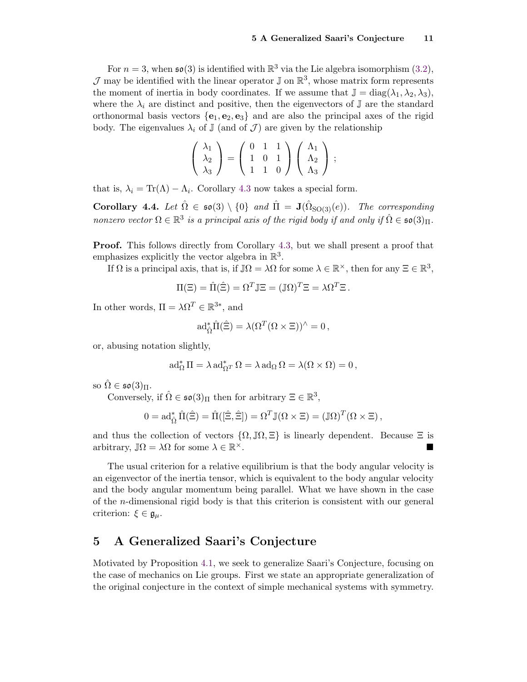For  $n = 3$ , when  $\mathfrak{so}(3)$  is identified with  $\mathbb{R}^3$  via the Lie algebra isomorphism  $(3.2)$ ,  $\mathcal J$  may be identified with the linear operator  $\mathbb J$  on  $\mathbb R^3$ , whose matrix form represents the moment of inertia in body coordinates. If we assume that  $\mathbb{J} = \text{diag}(\lambda_1, \lambda_2, \lambda_3)$ , where the  $\lambda_i$  are distinct and positive, then the eigenvectors of J are the standard orthonormal basis vectors  ${e_1, e_2, e_3}$  and are also the principal axes of the rigid body. The eigenvalues  $\lambda_i$  of J (and of J) are given by the relationship

$$
\left(\begin{array}{c}\lambda_1\\\lambda_2\\\lambda_3\end{array}\right)=\left(\begin{array}{ccc}0&1&1\\1&0&1\\1&1&0\end{array}\right)\left(\begin{array}{c}\Lambda_1\\\Lambda_2\\\Lambda_3\end{array}\right);
$$

that is,  $\lambda_i = \text{Tr}(\Lambda) - \Lambda_i$ . Corollary [4.3](#page-9-1) now takes a special form.

Corollary 4.4. Let  $\hat{\Omega} \in \mathfrak{so}(3) \setminus \{0\}$  and  $\hat{\Pi} = \mathbf{J}(\hat{\Omega}_{\mathrm{SO}(3)}(e))$ . The corresponding nonzero vector  $\Omega \in \mathbb{R}^3$  is a principal axis of the rigid body if and only if  $\hat{\Omega} \in \mathfrak{so}(3)_{\Pi}$ .

Proof. This follows directly from Corollary [4.3,](#page-9-1) but we shall present a proof that emphasizes explicitly the vector algebra in  $\mathbb{R}^3$ .

If  $\Omega$  is a principal axis, that is, if  $\mathbb{J}\Omega = \lambda \Omega$  for some  $\lambda \in \mathbb{R}^{\times}$ , then for any  $\Xi \in \mathbb{R}^3$ ,

$$
\Pi(\Xi) = \hat{\Pi}(\hat{\Xi}) = \Omega^T \mathbb{J}\Xi = (\mathbb{J}\Omega)^T \Xi = \lambda \Omega^T \Xi.
$$

In other words,  $\Pi = \lambda \Omega^T \in \mathbb{R}^{3*}$ , and

$$
\mathrm{ad}_{\hat{\Omega}}^* \hat{\Pi}(\hat{\Xi}) = \lambda (\Omega^T (\Omega \times \Xi))^{\wedge} = 0,
$$

or, abusing notation slightly,

$$
\mathrm{ad}^*_{\Omega} \Pi = \lambda \, \mathrm{ad}^*_{\Omega^T} \Omega = \lambda \, \mathrm{ad}_{\Omega} \Omega = \lambda(\Omega \times \Omega) = 0 \,,
$$

so  $\Omega \in \mathfrak{so}(3)_{\Pi}$ .

Conversely, if  $\hat{\Omega} \in \mathfrak{so}(3)$  then for arbitrary  $\Xi \in \mathbb{R}^3$ ,

$$
0 = \mathrm{ad}_{\hat{\Omega}}^* \hat{\Pi}(\hat{\Xi}) = \hat{\Pi}([\hat{\Xi}, \hat{\Xi}]) = \Omega^T \mathbb{J}(\Omega \times \Xi) = (\mathbb{J}\Omega)^T (\Omega \times \Xi),
$$

and thus the collection of vectors  $\{\Omega, \mathbb{J}\Omega, \Xi\}$  is linearly dependent. Because  $\Xi$  is arbitrary,  $\mathbb{J}\Omega = \lambda \Omega$  for some  $\lambda \in \mathbb{R}^\times$ .  $\times$ .

The usual criterion for a relative equilibrium is that the body angular velocity is an eigenvector of the inertia tensor, which is equivalent to the body angular velocity and the body angular momentum being parallel. What we have shown in the case of the  $n$ -dimensional rigid body is that this criterion is consistent with our general criterion:  $\xi \in \mathfrak{g}_{\mu}$ .

# <span id="page-10-0"></span>5 A Generalized Saari's Conjecture

Motivated by Proposition [4.1,](#page-7-1) we seek to generalize Saari's Conjecture, focusing on the case of mechanics on Lie groups. First we state an appropriate generalization of the original conjecture in the context of simple mechanical systems with symmetry.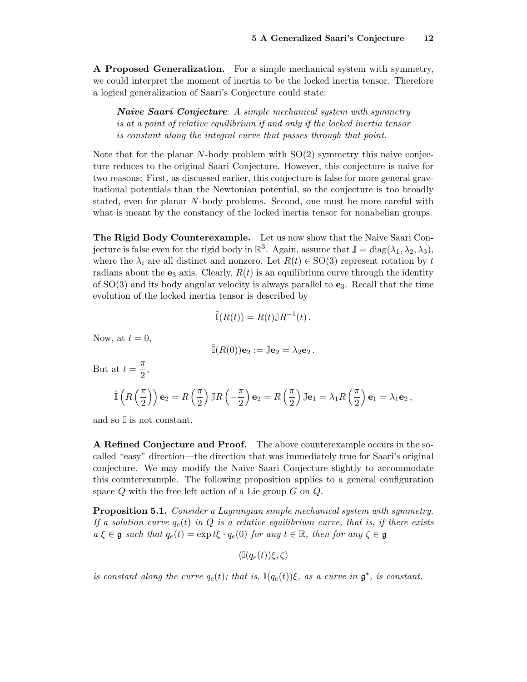A Proposed Generalization. For a simple mechanical system with symmetry, we could interpret the moment of inertia to be the locked inertia tensor. Therefore a logical generalization of Saari's Conjecture could state:

**Naive Saari Conjecture:** A simple mechanical system with symmetry is at a point of relative equilibrium if and only if the locked inertia tensor is constant along the integral curve that passes through that point.

Note that for the planar  $N$ -body problem with  $SO(2)$  symmetry this naive conjecture reduces to the original Saari Conjecture. However, this conjecture is naive for two reasons: First, as discussed earlier, this conjecture is false for more general gravitational potentials than the Newtonian potential, so the conjecture is too broadly stated, even for planar N-body problems. Second, one must be more careful with what is meant by the constancy of the locked inertia tensor for nonabelian groups.

The Rigid Body Counterexample. Let us now show that the Naive Saari Conjecture is false even for the rigid body in  $\mathbb{R}^3$ . Again, assume that  $\mathbb{J} = \text{diag}(\lambda_1, \lambda_2, \lambda_3)$ , where the  $\lambda_i$  are all distinct and nonzero. Let  $R(t) \in SO(3)$  represent rotation by t radians about the  $e_3$  axis. Clearly,  $R(t)$  is an equilibrium curve through the identity of  $SO(3)$  and its body angular velocity is always parallel to  $e_3$ . Recall that the time evolution of the locked inertia tensor is described by

$$
\tilde{\mathbb{I}}(R(t)) = R(t) \mathbb{J} R^{-1}(t) \, .
$$

Now, at  $t = 0$ ,

$$
\tilde{\mathbb{I}}(R(0))\mathbf{e}_2 := \mathbb{J}\mathbf{e}_2 = \lambda_2 \mathbf{e}_2
$$

But at  $t = \frac{\pi}{2}$  $\frac{\pi}{2}$ 

$$
\tilde{\mathbb{I}}\left(R\left(\frac{\pi}{2}\right)\right)\mathbf{e}_2 = R\left(\frac{\pi}{2}\right)\mathbb{J}R\left(-\frac{\pi}{2}\right)\mathbf{e}_2 = R\left(\frac{\pi}{2}\right)\mathbb{J}\mathbf{e}_1 = \lambda_1 R\left(\frac{\pi}{2}\right)\mathbf{e}_1 = \lambda_1 \mathbf{e}_2,
$$

and so I is not constant.

A Refined Conjecture and Proof. The above counterexample occurs in the socalled "easy" direction—the direction that was immediately true for Saari's original conjecture. We may modify the Naive Saari Conjecture slightly to accommodate this counterexample. The following proposition applies to a general configuration space  $Q$  with the free left action of a Lie group  $G$  on  $Q$ .

<span id="page-11-0"></span>**Proposition 5.1.** Consider a Lagrangian simple mechanical system with symmetry. If a solution curve  $q_e(t)$  in Q is a relative equilibrium curve, that is, if there exists  $a \xi \in \mathfrak{g}$  such that  $q_e(t) = \exp t \xi \cdot q_e(0)$  for any  $t \in \mathbb{R}$ , then for any  $\zeta \in \mathfrak{g}$ 

 $\langle \mathbb{I}(q_e(t))\xi, \zeta \rangle$ 

is constant along the curve  $q_e(t)$ ; that is,  $\mathbb{I}(q_e(t))\xi$ , as a curve in  $\mathfrak{g}^*$ , is constant.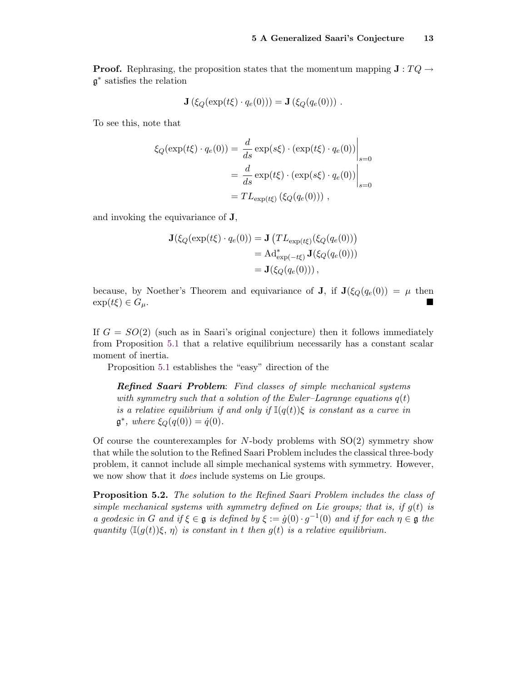**Proof.** Rephrasing, the proposition states that the momentum mapping  $J : TQ \rightarrow$ g ∗ satisfies the relation

$$
\mathbf{J}\left(\xi_Q(\exp(t\xi)\cdot q_e(0))\right)=\mathbf{J}\left(\xi_Q(q_e(0))\right).
$$

To see this, note that

$$
\xi_Q(\exp(t\xi) \cdot q_e(0)) = \frac{d}{ds} \exp(s\xi) \cdot (\exp(t\xi) \cdot q_e(0))\Big|_{s=0}
$$

$$
= \frac{d}{ds} \exp(t\xi) \cdot (\exp(s\xi) \cdot q_e(0))\Big|_{s=0}
$$

$$
= TL_{\exp(t\xi)} (\xi_Q(q_e(0))) ,
$$

and invoking the equivariance of J,

$$
\mathbf{J}(\xi_Q(\exp(t\xi) \cdot q_e(0)) = \mathbf{J}(TL_{\exp(t\xi)}(\xi_Q(q_e(0)))
$$
  
= Ad<sup>\*</sup><sub>exp(-t\xi)</sub>  $\mathbf{J}(\xi_Q(q_e(0)))$   
=  $\mathbf{J}(\xi_Q(q_e(0)))$ ,

because, by Noether's Theorem and equivariance of **J**, if  $J(\xi_Q(q_e(0)) = \mu$  then  $\exp(t\xi) \in G_\mu$ .

If  $G = SO(2)$  (such as in Saari's original conjecture) then it follows immediately from Proposition [5.1](#page-11-0) that a relative equilibrium necessarily has a constant scalar moment of inertia.

Proposition [5.1](#page-11-0) establishes the "easy" direction of the

Refined Saari Problem: Find classes of simple mechanical systems with symmetry such that a solution of the Euler–Lagrange equations  $q(t)$ is a relative equilibrium if and only if  $\mathbb{I}(q(t))\xi$  is constant as a curve in  $\mathfrak{g}^*,$  where  $\xi_Q(q(0)) = \dot{q}(0).$ 

Of course the counterexamples for  $N$ -body problems with  $SO(2)$  symmetry show that while the solution to the Refined Saari Problem includes the classical three-body problem, it cannot include all simple mechanical systems with symmetry. However, we now show that it *does* include systems on Lie groups.

**Proposition 5.2.** The solution to the Refined Saari Problem includes the class of simple mechanical systems with symmetry defined on Lie groups; that is, if  $g(t)$  is a geodesic in G and if  $\xi \in \mathfrak{g}$  is defined by  $\xi := \dot{g}(0) \cdot g^{-1}(0)$  and if for each  $\eta \in \mathfrak{g}$  the quantity  $\langle \mathbb{I}(g(t))\xi, \eta \rangle$  is constant in t then  $g(t)$  is a relative equilibrium.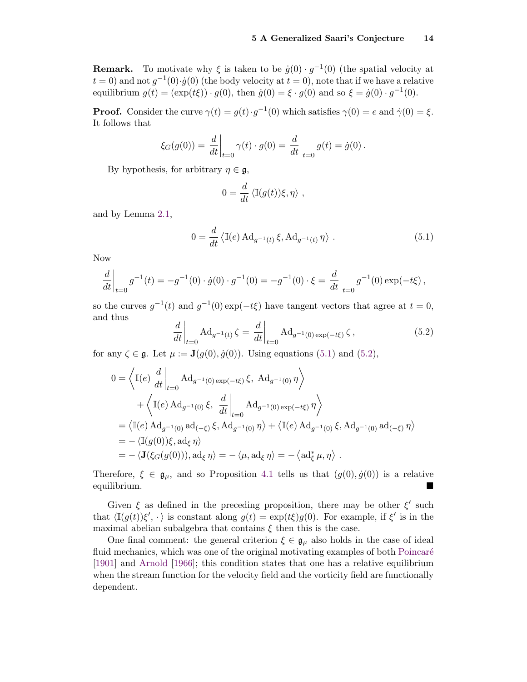**Remark.** To motivate why  $\xi$  is taken to be  $\dot{g}(0) \cdot g^{-1}(0)$  (the spatial velocity at  $t = 0$ ) and not  $g^{-1}(0) \cdot \dot{g}(0)$  (the body velocity at  $t = 0$ ), note that if we have a relative equilibrium  $g(t) = (\exp(t\xi)) \cdot g(0)$ , then  $\dot{g}(0) = \xi \cdot g(0)$  and so  $\xi = \dot{g}(0) \cdot g^{-1}(0)$ .

**Proof.** Consider the curve  $\gamma(t) = g(t) \cdot g^{-1}(0)$  which satisfies  $\gamma(0) = e$  and  $\dot{\gamma}(0) = \xi$ . It follows that

$$
\xi_G(g(0)) = \left. \frac{d}{dt} \right|_{t=0} \gamma(t) \cdot g(0) = \left. \frac{d}{dt} \right|_{t=0} g(t) = \dot{g}(0) .
$$

By hypothesis, for arbitrary  $\eta \in \mathfrak{g}$ ,

$$
0 = \frac{d}{dt} \langle \mathbb{I}(g(t))\xi, \eta \rangle ,
$$

and by Lemma [2.1,](#page-4-0)

<span id="page-13-0"></span>
$$
0 = \frac{d}{dt} \left\langle \mathbb{I}(e) \operatorname{Ad}_{g^{-1}(t)} \xi, \operatorname{Ad}_{g^{-1}(t)} \eta \right\rangle.
$$
 (5.1)

Now

$$
\frac{d}{dt}\bigg|_{t=0} g^{-1}(t) = -g^{-1}(0) \cdot \dot{g}(0) \cdot g^{-1}(0) = -g^{-1}(0) \cdot \xi = \frac{d}{dt}\bigg|_{t=0} g^{-1}(0) \exp(-t\xi) ,
$$

<span id="page-13-1"></span>so the curves  $g^{-1}(t)$  and  $g^{-1}(0) \exp(-t\xi)$  have tangent vectors that agree at  $t = 0$ , and thus

$$
\left. \frac{d}{dt} \right|_{t=0} \text{Ad}_{g^{-1}(t)} \zeta = \left. \frac{d}{dt} \right|_{t=0} \text{Ad}_{g^{-1}(0) \exp(-t\xi)} \zeta ,\tag{5.2}
$$

for any  $\zeta \in \mathfrak{g}$ . Let  $\mu := \mathbf{J}(g(0), \dot{g}(0))$ . Using equations [\(5.1\)](#page-13-0) and [\(5.2\)](#page-13-1),

$$
0 = \left\langle \mathbb{I}(e) \left. \frac{d}{dt} \right|_{t=0} \mathrm{Ad}_{g^{-1}(0) \exp(-t\xi)} \xi, \ \mathrm{Ad}_{g^{-1}(0)} \eta \right\rangle
$$
  
+ 
$$
\left\langle \mathbb{I}(e) \mathrm{Ad}_{g^{-1}(0)} \xi, \left. \frac{d}{dt} \right|_{t=0} \mathrm{Ad}_{g^{-1}(0) \exp(-t\xi)} \eta \right\rangle
$$
  
= 
$$
\left\langle \mathbb{I}(e) \mathrm{Ad}_{g^{-1}(0)} \mathrm{ad}_{(-\xi)} \xi, \mathrm{Ad}_{g^{-1}(0)} \eta \right\rangle + \left\langle \mathbb{I}(e) \mathrm{Ad}_{g^{-1}(0)} \xi, \mathrm{Ad}_{g^{-1}(0)} \mathrm{ad}_{(-\xi)} \eta \right\rangle
$$
  
= 
$$
-\left\langle \mathbb{I}(g(0))\xi, \mathrm{ad}_{\xi} \eta \right\rangle
$$
  
= 
$$
-\left\langle \mathbb{J}(\xi_G(g(0))), \mathrm{ad}_{\xi} \eta \right\rangle = -\left\langle \mu, \mathrm{ad}_{\xi} \eta \right\rangle = -\left\langle \mathrm{ad}_{\xi}^* \mu, \eta \right\rangle.
$$

Therefore,  $\xi \in \mathfrak{g}_{\mu}$ , and so Proposition [4.1](#page-7-1) tells us that  $(g(0), \dot{g}(0))$  is a relative equilibrium.

Given  $\xi$  as defined in the preceding proposition, there may be other  $\xi'$  such that  $\langle \mathbb{I}(g(t))\xi', \cdot \rangle$  is constant along  $g(t) = \exp(t\xi)g(0)$ . For example, if  $\xi'$  is in the maximal abelian subalgebra that contains  $\xi$  then this is the case.

One final comment: the general criterion  $\xi \in \mathfrak{g}_{\mu}$  also holds in the case of ideal fluid mechanics, which was one of the original motivating examples of both Poincaré [\[1901\]](#page-15-12) and [Arnold](#page-14-1) [\[1966\]](#page-14-1); this condition states that one has a relative equilibrium when the stream function for the velocity field and the vorticity field are functionally dependent.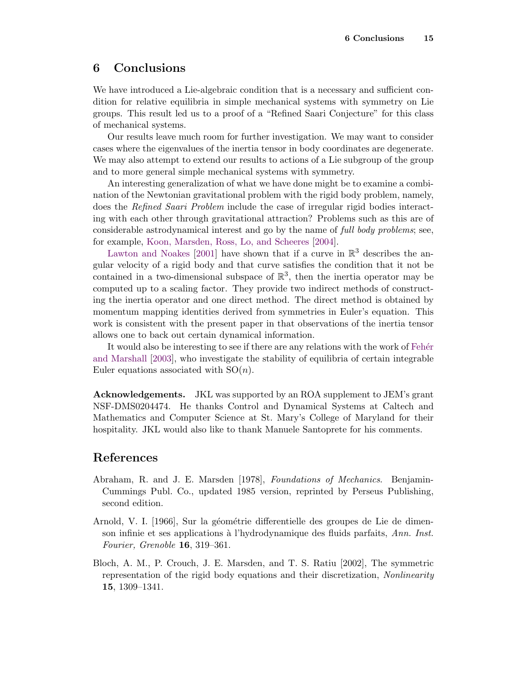### <span id="page-14-0"></span>6 Conclusions

We have introduced a Lie-algebraic condition that is a necessary and sufficient condition for relative equilibria in simple mechanical systems with symmetry on Lie groups. This result led us to a proof of a "Refined Saari Conjecture" for this class of mechanical systems.

Our results leave much room for further investigation. We may want to consider cases where the eigenvalues of the inertia tensor in body coordinates are degenerate. We may also attempt to extend our results to actions of a Lie subgroup of the group and to more general simple mechanical systems with symmetry.

An interesting generalization of what we have done might be to examine a combination of the Newtonian gravitational problem with the rigid body problem, namely, does the Refined Saari Problem include the case of irregular rigid bodies interacting with each other through gravitational attraction? Problems such as this are of considerable astrodynamical interest and go by the name of full body problems; see, for example, [Koon, Marsden, Ross, Lo, and Scheeres](#page-15-13) [\[2004\]](#page-15-13).

[Lawton and Noakes](#page-15-14) [\[2001\]](#page-15-14) have shown that if a curve in  $\mathbb{R}^3$  describes the angular velocity of a rigid body and that curve satisfies the condition that it not be contained in a two-dimensional subspace of  $\mathbb{R}^3$ , then the inertia operator may be computed up to a scaling factor. They provide two indirect methods of constructing the inertia operator and one direct method. The direct method is obtained by momentum mapping identities derived from symmetries in Euler's equation. This work is consistent with the present paper in that observations of the inertia tensor allows one to back out certain dynamical information.

It would also be interesting to see if there are any relations with the work of Feher [and Marshall](#page-15-15) [\[2003\]](#page-15-15), who investigate the stability of equilibria of certain integrable Euler equations associated with  $SO(n)$ .

Acknowledgements. JKL was supported by an ROA supplement to JEM's grant NSF-DMS0204474. He thanks Control and Dynamical Systems at Caltech and Mathematics and Computer Science at St. Mary's College of Maryland for their hospitality. JKL would also like to thank Manuele Santoprete for his comments.

#### References

- <span id="page-14-3"></span>Abraham, R. and J. E. Marsden [1978], Foundations of Mechanics. Benjamin-Cummings Publ. Co., updated 1985 version, reprinted by Perseus Publishing, second edition.
- <span id="page-14-1"></span>Arnold, V. I. [1966], Sur la géométrie differentielle des groupes de Lie de dimenson infinie et ses applications à l'hydrodynamique des fluids parfaits, Ann. Inst. Fourier, Grenoble 16, 319–361.
- <span id="page-14-2"></span>Bloch, A. M., P. Crouch, J. E. Marsden, and T. S. Ratiu [2002], The symmetric representation of the rigid body equations and their discretization, Nonlinearity 15, 1309–1341.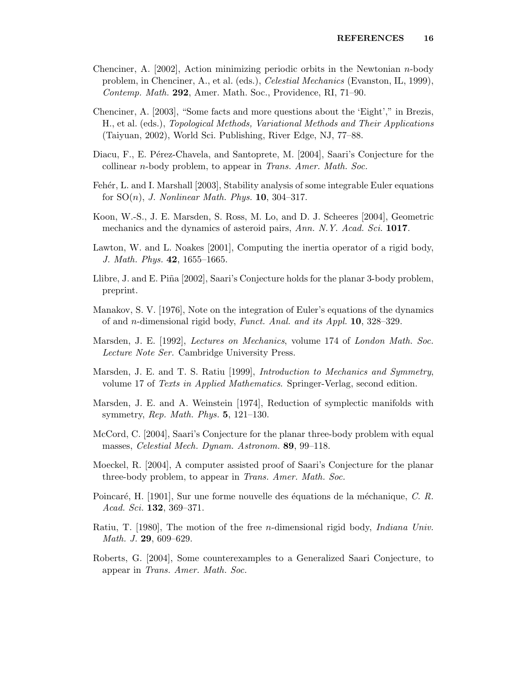- <span id="page-15-6"></span>Chenciner, A. [2002], Action minimizing periodic orbits in the Newtonian n-body problem, in Chenciner, A., et al. (eds.), Celestial Mechanics (Evanston, IL, 1999), Contemp. Math. 292, Amer. Math. Soc., Providence, RI, 71–90.
- <span id="page-15-7"></span>Chenciner, A. [2003], "Some facts and more questions about the 'Eight'," in Brezis, H., et al. (eds.), Topological Methods, Variational Methods and Their Applications (Taiyuan, 2002), World Sci. Publishing, River Edge, NJ, 77–88.
- <span id="page-15-5"></span>Diacu, F., E. Pérez-Chavela, and Santoprete, M. [2004], Saari's Conjecture for the collinear *n*-body problem, to appear in *Trans. Amer. Math. Soc.*
- <span id="page-15-15"></span>Fehér, L. and I. Marshall [2003], Stability analysis of some integrable Euler equations for  $SO(n)$ , *J. Nonlinear Math. Phys.* **10**, 304–317.
- <span id="page-15-13"></span>Koon, W.-S., J. E. Marsden, S. Ross, M. Lo, and D. J. Scheeres [2004], Geometric mechanics and the dynamics of asteroid pairs, Ann. N.Y. Acad. Sci. 1017.
- <span id="page-15-14"></span>Lawton, W. and L. Noakes [2001], Computing the inertia operator of a rigid body, J. Math. Phys. 42, 1655–1665.
- <span id="page-15-3"></span>Llibre, J. and E. Piña [2002], Saari's Conjecture holds for the planar 3-body problem, preprint.
- <span id="page-15-10"></span>Manakov, S. V. [1976], Note on the integration of Euler's equations of the dynamics of and n-dimensional rigid body, Funct. Anal. and its Appl. 10, 328–329.
- <span id="page-15-9"></span>Marsden, J. E. [1992], Lectures on Mechanics, volume 174 of London Math. Soc. Lecture Note Ser. Cambridge University Press.
- <span id="page-15-1"></span>Marsden, J. E. and T. S. Ratiu [1999], *Introduction to Mechanics and Symmetry*, volume 17 of Texts in Applied Mathematics. Springer-Verlag, second edition.
- <span id="page-15-0"></span>Marsden, J. E. and A. Weinstein [1974], Reduction of symplectic manifolds with symmetry, Rep. Math. Phys. 5, 121–130.
- <span id="page-15-2"></span>McCord, C. [2004], Saari's Conjecture for the planar three-body problem with equal masses, Celestial Mech. Dynam. Astronom. 89, 99–118.
- <span id="page-15-4"></span>Moeckel, R. [2004], A computer assisted proof of Saari's Conjecture for the planar three-body problem, to appear in Trans. Amer. Math. Soc.
- <span id="page-15-12"></span>Poincaré, H.  $[1901]$ , Sur une forme nouvelle des équations de la méchanique, C. R. Acad. Sci. 132, 369–371.
- <span id="page-15-11"></span>Ratiu, T. [1980], The motion of the free n-dimensional rigid body, Indiana Univ. Math. J. 29, 609–629.
- <span id="page-15-8"></span>Roberts, G. [2004], Some counterexamples to a Generalized Saari Conjecture, to appear in Trans. Amer. Math. Soc.